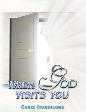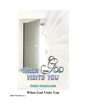

# **When God Visits You**

**ISBN 978-35622-4-x**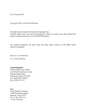*First Printing 2001*

*Copyright 2001 LoveWorld Publishing*

All rights reserved under International Copyright Law.

Contents and/or cover may not be reproduced in whole or in part in any form without the express written permission of LoveWorld Publications.

All scripture quotations are taken from the King James Version of the Bible unless otherwise indicated.

*Believers' LoveWorld Inc. a.k.a Christ Embassy*

#### **United Kingdom:**

Christ Embassy Int'l Office LoveWorld Conference Center Cheriton High Street, Folkestone, Kent CT19 4QJ Tel:+44(0)1303 270970 Fax: 01303 274 372

**Usa:** Christ Embassy Houston 12400 Westheimer Road, Houston, Texas 77077 Tel:+1-281-759-5111; +1-281-759-6218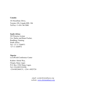#### **Canada:**

101 RossDean Drive, Toronto, ON, Canada M9L 1S6 Tel/Fax:+1-416-746 5080

**South Africa:** 303 Pretoria Avenue Cnr. Harley and Bram Fischer, Randburg, Gauteng South Africa. Tel: +27 11 3260971 +27 11 3260972

**Nigeria:** LoveWorld Conference Center

Kudirat Abiola Way, Oregun, Ikeja, Lagos P.O. Box 13563 Ikeja, Lagos. Tel:+234-8023324188, +234-8052464131, +234-1-8925724

> *email: cec@christembassy.org website: [www.christembassy.org](http://www.christembassy.org/)*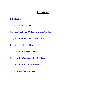# **Content**

### **Introduction**

Chapter 1 **A Strong Desire**

Chapter 2**The Spirit Of Prayer Comes To You**

Chapter 3 **He Calls You To The Word**

Chapter 4 **The Force Field**

Chapter 5 **He Changes Things**

Chapter 6 **He Commands His Blessings**

Chapter 7 **You Become A Blessing**

Chapter 8 **Let God Visit You**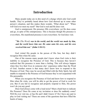## **Introduction**

Many people today are in dire need of a change which only God could handle. They've probably heard about how God showed up in some other person's situation, and this makes them wonder, 'What about me?' 'When will God ever meet my need?' But God is real and He does visit.

God is omnipresent; His presence fills everywhere; yet He does come and go, in spite of His omnipresence. This is because though His presence is everywhere, His manifested presence is not everywhere. So God does visit.

### "*He (The Word) was in the world, and the world was made by him, and the world knew him not. He came unto his own, and his own received him not.*" **(John 1:10-11)**

God visited His people in the person of His Son, but they didn't recognize Him when He came.

One of the reasons many people don't know when God visits is their inability to recognize the Presence of God. This is because they haven't realized that His presence is more than a feeling. This will always happen when they live their lives in someone else' experience rather than the Word of God. Another reason is that many don't know how to respond to the Presence of God. They may be saved and filled with the Holy Spirit, but still unable to respond to the Presence of God because they're not acquainted with His personality.

When you recognize the Presence of God and know how to respond to Him when He visits, you will be able to get the power of God to work for you. But if you fail to recognize and properly respond to Him, His power won't do you any good.

Does God always come with a loud noise? Must a bush burn to indicate His Presence? Does He come at my invitation or does He suddenly come? Will He ever visit me, or has He and I didn't know it? Do I have any part to play in God visiting me? These are some of the questions that have filled the hearts of many.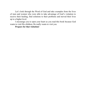Let's look through the Word of God and take examples from the lives of men and women who were able to take advantage of God's visitation to receive their healing, find solutions to their problems and moved their lives up to a higher level.

I encourage you to open your heart as you read this book because God wants to visit His children; He really wants to visit you.

#### **Prepare for that visitation!**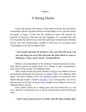Chapter 1

# A Strong Desire

In the early period of the history of the nation of Israel, they had gotten comfortable with the Egyptian lifestyle and had fallen in love with the onions and garlic of Egypt. At this time the children of Israel still enjoyed the goodwill of successive Pharaohs and the Egyptians. It is possible they had even forgotten the land flowing with milk and honey God promised Abraham and his seed. But Joseph being a prophet of God, knew by revelation what would happen in the not too distant future.

"*And Joseph said unto his brethren, I die: and God will surely visit you, and bring you out of this land unto the land which he sware to Abraham, to Isaac, and to Jacob."* **(Genesis 50:24)**.

Hitherto, the predicaments of the children of Israel remained the same. They did not pursue an ardent desire for a change in their circumstances; hence God's Word couldn't be fulfilled in them.

<span id="page-7-0"></span>After Joseph became the prime Minister of Egypt, the children of Israel tremendously prospered and increased in number until a new Pharaoh ruled Egypt, who knew nothing of how the Egyptian empire was preserved from famine through Joseph's wisdom  $(Exodus1:7-14)$ . Consequently, out of fear and insecurity in the face of the growing strength of the children of Israel, he subjected them to slavery.

Soon, Israel's desire for a change grew and God heard their cry and sent a deliverer to bring them out of slavery and lead them into the Promised Land.

"*And it came to pass in process of time, that the king of Egypt died:*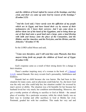*and the children of Israel sighed by reason of the bondage, and they cried, and their cry came up unto God by reason of the bondage."* **(Exodus 2:23)**

"*And the Lord said, I have surely seen the af liction of my people which are in Egypt, and have heard their cry by reason of their taskmasters; for I know their sorrows; And I am come down to deliver them out of the hand of the Egyptians, and to bring them up out of that land unto a good land and a large, unto a land flowing with milk and honey; unto the place of the Canaanites, and the Hittites, and the Amorites, and the Perizzites, and the Hivites, and the Jebusites."* **(Exodus 3:7-8)**

So the LORD called Moses and said,

### "*Come now therefore, and I will send thee unto Pharaoh, that thou mayest bring forth my people the children of Israel out of Egypt.* **(Exodus 3:10)**

God's response came as a result of their strong desire for a change in their situation.

<span id="page-8-0"></span>There's another inspiring story of a woman in the book of 1 Samuel 1:1-21, named Hannah. Her story reveals God's personality, faithfulness and kindness.

Hannah had no child because she was barren. She had been in this situation for many years, and no physician could help her. So, she knew God was the only one who could help her; her situation couldn't be reversed by man's power or ability. The situation was a bit bearable for her because her husband loved her very much, her condition notwithstanding. Moreover, she got a worthy portion of offering to sacrifice to God at Shiloh - the annual place of worship. On a particular occasion, while the whole family was on their way to worship and offer sacrifices to God at Shiloh, her rival, Peninnah, goaded her with her condition. This made her very sad and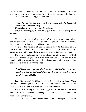desperate and her countenance fell. This time, her husband's efforts to encourage her were all to no avail. By the time they arrived at Shiloh, her desire for a child was so strong, that the Bible says,

### "*And she was in bitterness of soul, and prayed unto the Lord, and wept sore.***" (1 Samuel 1:10)**

Hannah had a strong desire now for a change.

### *When God visits you, the first thing you'll discover is a strong desire for change.*

There is a promise of a higher realm of life for you regardless of where you are presently. God's Word is His promise to you, and it's a place of rest. When you let Him visit you, He will carry you there.

You need the visitation of God in order to move to this realm of life, but first you need that desire. You are God's child but you have an enemy, the devil, who will do everything to keep you from getting what is yours.

Do you want a change? Do you want the power of the kingdom of God to produce results for you? Then your heart must reach out; you must be bursting with a strong desire. Strong desire is necessary in life. A compelling desire for a change is the starting place.

### "*And David perceived that the Lord had established him king over Israel, and that he had exalted his kingdom for his people Israel's sake."* **(2 Samuel 5:12)**

Isn't this amazing? David had been king for several years already. Then one day, while sitting on his throne, it dawned on him that God had actually established him as king over Israel and exalted his kingdom.

I'm sure something like this has happened to you before; you were looking for a pen to use and it suddenly dawned on you that you had one in your pocket all the while.

There are times you don't have something but because you don't really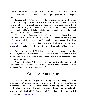have any desire for it, it might not occur to you that you need it. All of a sudden, the need dawns on you, and from that point your desire for it begins to increase.

Hannah had probably made up a lot of excuses in her heart for her condition, thinking, "The God of Abraham will visit me one day." She must have tried to console herself that everything was okay except that she didn't have a child. But it got to a time that she couldn't take it anymore, it dawned on her, just like David, that she needed a miracle. She knew she didn't want to live the rest of her life without a child.

<span id="page-10-0"></span>The same thing happened to the children of Israel in Egypt. It wasn't until they didn't have enough to eat and the whips of the Egyptian taskmasters landed on their backs that God's promise occurred to them (Exodus 2:23-25). It dawned on them that a better land was waiting for them, where all the good things of life were freely available and they'd no longer be slaves.

Sometimes you find Christians in a desperate situation, just like Hannah's, but they fail to recognize it. They have great need in their lives but fail to realize it. Until the need dawns on them, they may never recognize the solution or desire it.

You want a change? It's got to dawn on you that God has prepared something better than where you are now. The first step to your miracle is to get uncomfortable with your present state!

# **God Is At Your Door**

<span id="page-10-1"></span>When you discover that you have a strong desire for change, then God is at your door. The strong desire is the response of the human soul to God, as He knocks on the door of your heart. **There's something about the human soul; when your soul cries out in a strong desire, God immediately responds to it.** God said, 'before you call I'll be there, before you ask, I'll answer you**' (Isaiah 65:24).**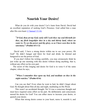## **Nourish Your Desire!**

<span id="page-11-0"></span>What do you do with your desire? Let's learn from David. David had an excellent reputation of seeking God's Presence. God called him a man after His own heart (1 Samuel 13:14).

"*O God, thou art my God; early will I seek thee: my soul thirsteth for thee, my flesh longethfor thee in a dry and thirsty land, where no water is; To see thy power and thy glory, so as I have seen thee in the sanctuary.***" (Psalms 63:1-2)**

David said, 'I have a strong desire within me to see your power, Oh God!' He didn't hunger and thirst for food and drink; he thirsted and hungered to see the power of God.

If you don't follow his writing carefully, you may erroneously think he just woke up one morning with this desire without doing anything, that is, without any effort on his own part.

The secret of this longing and desire for God is in verse 6 of the same chapter, where he says,

### "*When I remember thee upon my bed, and meditate on thee in the night watches."* **(Psalm 63:6)**

Can you see that? Even when he went to bed, he didn't forget about God. He thought about Him all day and night, meditating on His Word.

This wasn't an accidental thought. No! It was a conscious thought and must have required some effort on his part. He deliberately and consciously nursed his desire for God! You can either nurse to increase your desire, or quench your desire.

When that strong desire comes to your heart, nurse it, nourish it, and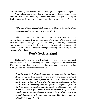don't let anything take it away from you. Let it grow stronger and stronger.

You'll also discover that when you have a strong desire for something, more information will come to you about that thing. Then you'll look up to God for answers. If you have a strong desire, let it work in you, don't push it away.

### "*The fear of the wicked, it shall come upon him: but the desire of the righteous shall be granted."* **(Proverbs 10:24)**

With the desire, half the battle is won already. But it's your responsibility to nurse it. Jesus said, '*blessed are they which hunger and thirst after righteousness; for they shall be filled.***'(**Matthew 5:6**).** The reason they're blessed is because they'll be filled. The Presence of God comes right where there's a thirst and hunger for change according to the Word; right at the door of your heart.

## **Don't Seek A Sign!**

God doesn't always come with a shout; He doesn't always come amidst blinding lights. This is why some people don't recognize His Presence when He comes. A lot of times He just sets up little signs, and if you're not desiring Him, you may not know when He shows up.

"*And he said, Go forth, and stand upon the mount before the Lord. And, behold, the Lord passed by, and a great and strong wind rent the mountains, and brake in pieces the rocks before the Lord; but the Lord was not in the wind: and after the wind an earthquake; but the Lord was not in the earthquake: And after the earthquake a fire; but the Lord was not in the fire: and after the fire a still small voice. And it was so, when Elijah heard it, that he wrapped his face in his mantle, and went out, and stood in the entering in of the cave. And, behold, there came a voice unto him, and said, What doest thou here, Elijah?***" (1 Kings 19:11-13)**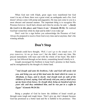When God met with Elijah, great signs were manifested but God wasn't in any of them; there was a great wind, an earthquake and a fire. God doesn't always come with pomp and pageantry; He may just come to you in a most obscure and unusual manner. The important thing is to recognize His Presence however. Jacob had a dream and when he awoke, he said, *"...Surely the Lord is in this place; and I knew it not."* **(Genesis 28:16)**. He realized God had visited him while he slept and he didn't even wake up!

Don't wait for a sign before you acknowledge the Presence of God. Always be prepared to receive from God every time and at anytime; that's the winning attitude.

## **Don't Stop**

Hannah could have thought, *'Well, I can't go to the temple now, I'll pray tomorrow, let me go home now*'; but she didn't waste any time. She prayed immediately with tears and with the whole of her heart. She didn't give up, but followed through on her desire, committing herself wholly to it.

Joseph encouraged his brethren to keep God's promise in their hearts, and be strengthened by the thought of a better land.

"*And Joseph said unto his brethren, I die: and God will surely visit you, and bring you out of this land unto the land which he sware to Abraham, to Isaac, and to Jacob. And Joseph took an oath of the children of Israel, saying, God will surely visit you, and ye shall carry up my bones from hence. So Joseph died, being an hundred and ten years old: and they embalmed him, and he was put in a cof in in Egypt."* **(Genesis 50:24-26)**

Being a prophet of God he knew the children of Israel would go through some tough and rough times. 'Don't give up, don't despair because God has promised us a better land and He is faithful to his promises.' This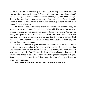could summarize his valedictory address. I'm sure they must have stared at him in utter amazement, 'Leave? What in the world are you talking about? This place is great; there is famine everywhere else', they must have thought. But by the time they became slaves to the Egyptians, Joseph's words made sense to them. It was Joseph's words that encouraged them through four hundred years of slavery.

In Jacob's case, after many years of self-exile in another land, he wanted to go back home. He had been living with his uncle, but now he wanted to start a new life in his own house with his own family. You may be living with your uncle or friends and you want your own house. That's just the way Jacob felt; he wanted a change, and the desire came because God was at his door. Hannah was desperate about her situation as well. So, you can see that you're not alone.

When God knocks at your door and that desire wells up in you, don't try to suppress or smother it. What you really ought to do is build, nourish and constantly stir up that desire. I know you're reading this book because you have a desire for God. Your desire is the first step because there are still many more things to do. This is why I'm sharing these thoughts with you. Don't stop now! Let your desire bring you to the place where you'll possess what you've desired.

#### **God loves to visit His children and He wants to visit you!**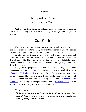Chapter 2

# The Spirit of Prayer Comes To You

With a compelling desire for a change comes a strong urge to pray. A burden of prayer begins to develop as God's Spirit leads you into the place of change.

## **Call For It!**

Now there is a desire in you, but you have to call the object of your desire. Your soul's call for a change invokes the Presence of God who desires to answer your prayer. As you call out in prayer, He answers you.

As close as your friends are to you, they still request your person and have consideration for your invitations and responses. The Lord is even more friendly and polite. The scriptures declare that he is a friend that sticks closer than a brother. If you invite him into your situation, through prayer and faith, He will honour it.

<span id="page-15-0"></span>Many times, people wonder why they should pray. You must understand that God has given man complete authority in the physical realm (Genesis 1:26; Psalm 115:16), so He needs man's invitation to do anything on earth because He is not a usurper. Secondly, He made man a free moral agent, equipped with the ability of making his own choices (Deuteronomy  $11:26-28$ ). And thirdly, there is power in our words [\(Proverbs](#page-45-0) 18:21) and He wants us to release this power as we declare our desire.

The scripture says**,**

"*Take with you words, and turn to the Lord: say unto him, Take away all iniquity, and receive us graciously: so will we render the calves of our lips."* **(Hosea 14:2).**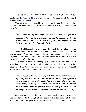<span id="page-16-0"></span>Your words are important to Him. Jesus is the High Priest of our confession  $(Hebrews 3:1)$ ; it's what you say with your mouth that He'll honour before the Father.

You ought to take time aside from the world, aside from every thing else and pray according to His Word. Spend time in prayer, sincerely looking up to God.

"*So Hannah rose up after they had eaten in Shiloh, and after they had drunk. Now Eli the priest sat upon a seat by a post of the temple of the Lord. And she was in bitterness of soul, and prayed unto the Lord, and wept sore.*" **(1 Samuel 1:9-10)**

Thank God Hannah knew what to do! She was fed up with her situation and so went back to the house of God in Shiloh. She wouldn't leave until she got an answer from God. It got to the time she couldn't speak or shout anymore, so she just had to talk to God from within her heart: no voice, but the movement of her lips only.

This wasn't a prayer for other people to hear; it was directed to God from her heart. Even the high priest, who had been there all the while, observing those that came into the house of God, erroneously thought Hannah was drunk and he accused her to her face.

"*And Eli said unto her, How long wilt thou be drunken? put away thy wine from thee. And Hannah answered and said, No, my lord, I am a woman of a sorrowful spirit: I have drunken neither wine nor strong drink, but have poured out my soul before the Lord. Count not thine handmaid for a daughter of Belial: for out of the abundance of my complaint and grief have I spoken hitherto*" **(1 Samuel 1:14-16).**

Praying from the heart doesn't mean you're praying for twenty hours. It has no reference to the length of time spent, rather, the impact of the time spent. The time you spend in prayer should affect you; it should influence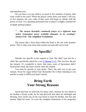and transform you.

Do you know you can achieve so much in five minutes of prayer, than some could in ten years? When the prayer comes from your heart, I tell you, in five minutes, the very walls of that room will begin to vibrate with the power of God. Yet, spending protracted time in prayer is highly essential for in-depth spiritual impact.

### "…*The earnest (heartfelt, continued) prayer of a righteous man makes tremendous power available [dynamic in its working].*" **(James 5:16 - The Amplified Translation)**

The prayer that's from deep within the heart is the one with dynamic power. This is when your inner man reaches out and calls out to God.

# **Be Specific!**

<span id="page-17-0"></span>Hannah was specific in her request to God. She didn't just ask for a child. She specifically asked for a son  $(1 \text{ Samuel } 1:11)$ . This was how she got her miracle. It's wonderful to know that many years of barrenness didn't becloud her mind; she knew exactly what she wanted.

You must be specific in your desire. That's the only way to get your miracle. Never be vague before God. Remember He is there listening to you and He is ready to fulfill your heart's desire.

# **Bring Forth Your Strong Reasons**

Jacob had been on self-exile for many years, because he was afraid of his brother's (Esau) wrath; for he had deceived and taken his birthright and blessing. Now Jacob was on his way home to meet his brother, but fear and anxiety filled his heart. To avert the complete destruction of his properties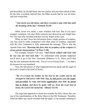and household, he divided them into two parties and sent them ahead of him. By the time everybody had left him, the Bible records that he was all alone, and God visited him.

### "*And Jacob was left alone; and there wrestled a man with him until the breaking of the day.***" (Genesis 32:24)**

While Jacob was alone, a man wrestled with him. But if you don't compare scriptures, you may think someone just showed up and fought him. No! The man who wrestled with him was the Angel of the Lord.

When we don't have the full picture from a single portion of scripture, you may need to make comparison with other areas of scripture, especially with the New Testament to fully understand the message. This is why the Apostle Peter said, *"Knowing this first, that no prophecy of the scripture is of any private interpretation."* **(2 Peter 1:20)**

For example, Genesis 5:24 says, *"And Enoch walked with God: and he was not; for God took him."* To understand what actually happened you'll have to go to the New Testament (Hebrews 11:5). There you'll find that the real statement should read, *"Enoch was not found dead…"*; he didn't die because he was translated.

Now, the full picture of what happened between Jacob and the angel of the Lord is found in the book of Hosea.

"*He (Jacob)took his brother by the heel in the womb, and by his strength he had power with God: Yea, he had power over the angel, and prevailed: he wept, and made supplication unto him: he found him in Bethel, and there he spake with us; Even the Lord God of hosts; the Lord is his memorial."* **(Hosea 12:3-5)**

The angel that appeared to Jacob was actually the Holy Ghost; this was one of the manifestations of the Holy Ghost in the Old Testament. Therefore when the Bible says Jacob wrestled with the angel, it was actually referring to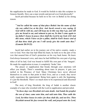the supplication he made to God. It would be foolish to take this scripture in Genesis literally. How can a man wrestle and prevail over God physically?

Jacob prevailed because he held on to his vow in Bethel as his strong reason.

"*And he called the name of that place Bethel: but the name of that city was called Luz at the first. And Jacob vowed a vow, saying, If God will be with me, and will keep me in this way that I go, and will give me bread to eat, and raiment to put on, So that I come again to my father's house in peace; then shall the Lord be my God: [22] And this stone, which I have set for a pillar, shall be God's house: and of all that thou shalt give me I will surely give the tenth unto thee.***" (Genesis 28:19-22)**

Jacob had earlier on in his journey out of his native country, made a vow to God. Now that fear had filled his heart, he held on to the part of his vow that assured him of God's protection on his way back home. He knew God always honoured vows, and since he had fulfilled his own part of giving tithes of all he had, God was bound to fulfill His own part of the 'bargain'. He made his supplication in tears; it completely 'broke' him.

The prayer or supplication that breaks through your emotions will affect you deeply. There's something about tears in prayers; it gets you melted in the Presence of God. Many Christians have never allowed themselves to come to that point in their lives, and as a result, they never really experience the supernatural. Being born again is only the beginning; it's just the threshold. There's so much more to be experienced and discerned in God!

The story of king Hezekiah, the king of Judah is another classic example of a man who wrestled with the Lord in supplication and prevailed.

"*In those days was Hezekiah sick unto death. And Isaiah the prophet the son of Amoz came unto him, and said unto him, Thus saith the Lord, Set thine house in order: for thou shalt die, and not live. Then Hezekiah turned his face toward the wall, and prayed unto the Lord,*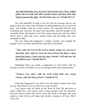*And said, Remember now, O Lord, I beseech thee, how I have walked before thee in truth and with a perfect heart, and have done that which is good in thy sight. And Hezekiah wept sore.*"**(Isaiah 38:1-3)**

Isn't this beautiful! In spite of the fact that the message that he was going to die came with a note of finality, he still pleaded his case to God with tears, and brought forth his strong reasons. He separated himself from everything and everyone; his pains and discomfort, and the thought of his inevitable death, and turned to God. His strong reasons were that he walked before God in truth and with a perfect heart, and did things that were acceptable to Him.

The next thing that happened is simply exciting. God stopped the prophet on his way back, and told him to go back to Hezekiah.

"*Then came the word of the Lord to Isaiah, saying, Go, and say to Hezekiah, Thus saith the Lord, the God of David thy father, I have heard thy prayer, I have seen thy tears: behold, I will add unto thy days fifteen years."* **(Isaiah 38:4-5)**

Hallelujah! Have you made a supplication to God lately? Did the Presence of God overwhelm you, as you brought forth your strong reasons?

### "*Produce your cause, saith the Lord; bring forth your strong reasons, saith the King of Jacob.*" **(Isaiah 41:21)**

If this has happened to you, then it was the Spirit of prayer that came on you. That means you're on your way to your miracle.

Your prayer must be based on the Word of God; His provision in Christ. Otherwise, your reasons aren't strong enough to get His attention. God will always honour His Word, when His Word is declared with your mouth in faith. Devils will shake and tremble, situations will bow. Why? Jesus said,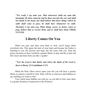"*For verily I say unto you, That whosoever shall say unto this mountain, Be thou removed, and be thou cast into the sea; and shall not doubt in his heart, but shall believe that those things which he saith shall come to pass; he shall have whatsoever he saith. Therefore I say unto you, What things soever ye desire, when ye pray, believe that ye receive them, and ye shall have them.***"(Mark 11:23-24)**

## **Liberty Comes On You**

When you pray and open your heart to God, you'll forget about everybody else. This opens the door of your heart and because the Father is listening to you, He answers and steps into the room with you. Then the prayer increases as there would be a greater liberty to pray and the words will flow more and more from you like a 'gusher'.

"*Now the Lord is that Spirit: and where the Spirit of the Lord is, there is liberty.*"**(2 Corinthians 3:17)**

When the Holy Ghost moves upon your life you will have a greater liberty to express yourself to God. There will be so much joy and boldness to say anything you want to God.

Your whole heart bubbles out with joy, as you talk to God, since there is a greater freedom of expression in His Presence.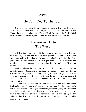Chapter 3

## He Calls You To The Word

Now that you've spent time in prayers, hunger will well up from your spirit. This hunger is a craving for God, and since God and His Word are one (John 1:1), it is the craving for the Word of God. Every time the Spirit of God intervenes in your situation, there'll be a passion for the Word of God.

# **The Answer Is In The Word**

All this time, you've thought the answer to your situation will come from heaven, and you had probably been patiently waiting for it to drop through the ceiling. But when you're supernaturally alert to the Word of God, you'll discover the answer to all your questions. The Bible contains the solution to man's problems; his needs and desires. If you have a Bible, you are blessed.

God will always direct you back to the Book (the Bible), and show you the solution, notwithstanding the thrilling experiences you may have had in His Presence. Experiences, feelings and signs won't change you because signs can't change anybody; only words have the ability to change people. It doesn't matter what you see or experience in life, it will neither change you nor your situation.

The children of Israel saw fire and smoke on Mount Sinai and when God spoke out of the midst of the fire, they were scared and ran backwards but it didn't change them. Right after these great sights, they still grumbled and disobeyed God. Only words can transform a man, and this is because they're both are made of the same substance. Man is a spirit being and the only materials that have the ability to get right into his spirit and mix with his substance are 'words'.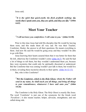Jesus said,

"*It is the spirit that quick-eneth; the flesh profiteth nothing: the words that I speak unto you, they are spirit, and they are life."* **(John 6:63)**

## **Meet Your Teacher**

### "*I will not leave you comfortless: I will come to you."* **(John 14:18)**

Prior to this time Jesus had told His disciples that He would be leaving them soon, and this made them all very sad. He was their Teacher, Comforter, Healer, the answer to all their questions; He meant everything to them. And now He said He would be going away and they wouldn't be able to go with Him.

<span id="page-23-0"></span>Jesus knowing their hearts assured them that it was better for them that He left, otherwise the Comforter wouldn't come (John 16:7). He said He had a lot of things to tell them, but they wouldn't understand them yet, because they were mysteries that could only be spiritually discerned or understood. But the Comforter that was coming wouldn't just talk to them, but would live in them, revealing these mysteries directly to their spirits. (John 16:12-13).

But, who is this Comforter?

"*But the Comforter, which is the Holy Ghost, whom the Father will send in my name, he shall teach you all things, and bring all things to your remembrance, whatsoever I have said unto you.***" (John 14:26)**

The Comforter is the Holy Ghost. The Holy Ghost is exactly like Jesus. The word 'Comforter' is just one of the synonyms for the Greek word *'Paraklette'*; it also means teacher, helper, advocate, strengthener, and one called along side.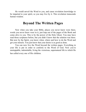He would unveil the Word to you, and cause revelation knowledge to be imparted to your spirit, so you may live by it. This revelation transcends human wisdom.

## **Beyond The Written Pages**

Now when you take your Bible, places you never knew were there, words you never knew were in it, just leap out of the pages of the Book and come alive to you. This is by the power of the Holy Ghost. You may have read those scriptures before, but you didn't know that the solution was there. But now by the Spirit, you know when, where and how to do the Word and get your miracle. You just know that your desire is as good as done.

You can now live the Word beyond the written pages. Everything in your life is put in order to conform to the Word of God. Now you're unstoppable, indomitable, living the victorious, supernatural life to which He has called every one of His children.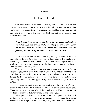### Chapter 4

# The Force Field

Now that you've spent time in prayer, and the Spirit of God has revealed the answer to your situation to you through His Word, the next thing you'll observe is a force field set up around you. And that's the force field of the Holy Ghost, Who is the power of God. It's set up all around you, everywhere you go.

"*And it came to pass on a certain day, as he was teaching, that there were Pharisees and doctors of the law sitting by, which were come out of every town of Galilee, and Judaea, and Jerusalem: and the power of the Lord was present to heal them."* (**Luke 5:17)**

These men were well learned in the law, but they came in the midst of the multitude to hear Jesus teach, looking for loop holes in His teaching by which they could arrest Him. They didn't know that something was in the air while Jesus was teaching; the power of the Lord was present to heal them the force field of the Holy Ghost.

This can happen to you anywhere and everywhere you go! It can happen to you, if you want that power of God to flow through your life. You don't have to pay anything for it; just look up to God and walk in His Word. Refuse to live an ordinary life because you have a supernatural life. Something supernatural can happen to any Christian when he opens his heart to God.

This force field is the new air you breathe, it's the power you're now experiencing in your life. It creates the freshness of the Spirit around you. You may not know how to explain it, but you just know it's there. As soon as God sets it up in you, it starts working in and around you.

When you meditate on the Word of God and pray, this field will continue to grow and increase in influence; it'll continue to expand. Ecclesiastes 11:3 says, *"If the clouds be full of rain, they empty themselves*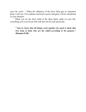*upon the earth…*" When the influence of the force field gets to saturation point, I tell you, it'll condense and God's power and glory will be manifested in your situation.

When you let the force field of the Holy Spirit settle on your life, everything you're involved with will turn out for your good only.

"*And we know that all things work together for good to them that love God, to them who are the called according to his purpose."* **(Romans 8:28)**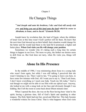#### Chapter 5

## He Changes Things

"*And Joseph said unto his brethren, I die: and God will surely visit you, and bring you out of this land unto the land which he sware to Abraham, to Isaac, and to Jacob."* **(Genesis 50:24)**

Joseph knew by revelation that, the land of Egypt, where the children of Israel were at this time wasn't God's perfect will for them. He knew that the next time God showed up on their behalf, their situation would change for the better and He would lead them to the land He'd promised; a higher and better place. **When God visits you He will change your position**.

Sometimes we wonder why it's taking such a long time for certain things to happen in our lives. The more we pray, the farther our desires seem to drift from us. But God does not tarry, when He visits you, things will change.

## **Alone In His Presence**

In the middle of 1986, I was ministering about Jesus to a young lady who wasn't born again, but while I was still talking I perceived that she wasn't listening to me. Then I said to her, "I'm going to leave you here, to have some few minutes with God. All I want you to say is, "Dear Lord Jesus, I don't know everything so I need your help. Touch my life today." God is real though we might not be able to see Him with our optical eyes. Anyway, she looked at me with a smug look on her face and obviously thought I was kidding. But I left the room to come back about fifteen minutes later.

When I opened the door, she was on the floor having been 'slain'in the spirit; having a glorious time, full of God's Spirit and speaking in other tongues. The Holy Spirit had met her, saved and filled her. This lady became a wonderful witness for Jesus Christ. That is what happens when God visits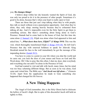#### you; **He changes things!**

I believe deep within her she honestly wanted the Spirit of God, she was only too proud to do it in the presence of other people. Sometimes it's good to be alone, because that's when your heart is really open to God.

<span id="page-28-0"></span>There are those that just can't stop talking when they're with people; they talk so much without even a punctuation opportunity. And when they're alone, they only sleep; snoring heavily because they're exhausted from talking all day. And it's impossible even for the Holy Spirit to get them to something serious. But there's something about being alone in God's Presence. Hannah had to come back to the house of God, but this time she came alone (1 Samuel 1:9). Elijah was alone when God appeared to him and asked him, **"***…What doest thou here, Elijah?***" (1 Kings 19:9)** This was the visit, which thoroughly transformed Elijah (1 Kings 19:9-18). He left God's Presence that day with renewed boldness to speak for Jehovah. King Hezekiah turned his face to the wall immediately he got the message of his impending demise (Isaiah 38:2).

You have to come to a point in your life where you shut the world and its cares out; you lock the door of your senses and focus on God and His Word alone. Oh! I like to pray like this often; I shut my door, shut everybody and everything else out until I'm alone in the Presence of God.

God had wanted to visit and talk with Jacob, many times, but his mind was too busy scheming different things. But as soon as he was alone, God came and visited him. The Bible says "*And Jacob was left alone…*" (Genesis 32:24). Apart from the supplication he made to God, something else happened that changed his life forever.

# **A New Thing Happens**

The Angel of God (remember, this is the Holy Ghost) had to dislocate the hollow of Jacob's thigh. But in spite of this discomfort Jacob still held on tightly to Him.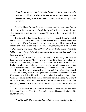"*And he (the angel of the Lord) said, Let me go, for the day breaketh. And he (Jacob) said, I will not let thee go, except thou bless me. And he said unto him, What is thy name? And he said, Jacob.***" (Genesis 32:26-27)**

Jacob had been frustrated and needed some comfort, he wanted God to bless him, so he held on to the Angel tightly and insisted on being blessed. Then the Angel asked for Jacob's name. Why do you think He asked for his name?

I believe God didn't need Jacob to introduce himself, He only wanted him to come to terms with himself; He wanted him to realize where his problem was. When God asked him this question, it suddenly dawned on Jacob that he was a cheat. The Bible says, **"***His own iniquities shall take the wicked himself, and he shall be holden with the cords of his sins***"(Proverbs 5:22).** Hosea 8:7 says, **"***For they have sown the wind, and they shall reap the whirlwind…***"**

Jacob knew it was his time to pay dearly for his deception, because Esau was a ruthless man. Moreover, when he heard that Esau was on his way with four hundred men, his heart fainted within him. It wasn't possible for God to bless him because he had been a swindler, a trickster, and a con artist. This was why he was so afraid. Sin destroys faith and replaces it with fear.

It's just like what happened to Adam and Eve, when they sinned against God in the garden by eating the forbidden fruit. God came down like He always did to fellowship with both of them but they had gone into hiding. When God called out to them, Adam answered from his hiding, **"***…I heard thy voice in the garden, and I was afraid, because I was naked; and I hid myself.***" (Genesis 3:10).** He was afraid. Fear always comes to man when he sins.

So, for the first time, it suddenly dawned on Jacob that he had been living up to his name. Therefore, God had to change his name first before He could bless him.

"*And he said, Thy name shall be called no more Jacob, but Israel:*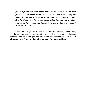*for as a prince hast thou power with God and with men, and hast prevailed. And Jacob asked , and said, Tell me, I pray thee, thy name. And he said, Whereforeis it that thou dost ask after my name? And he blessed him there. And Jacob called the name of the place Peniel: for I have seen God face to face, and my life is preserved.***" (Genesis 32:28-30)**

When God changed Jacob's name, his life was completely transformed, and he got the blessing he earnestly sought. This gave him confidence, boldness, and his initial guilt and fear completely disappeared. **When God visits you, new things are bound to happen; He changes things!**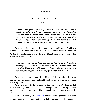Chapter 6

# He Commands His Blessings

"*Behold, how good and how pleasant it is for brethren to dwell together in unity! It is like the precious ointment upon the head, that ran down upon the beard, even Aaron's beard: that went down to the skirts of his garments; As the dew of Hermon, and as the dew that descended upon the mountains of Zion: for there the Lord commanded the blessing, even life for evermore.***" (Psalm 133:1-3)**

When you take a closer look at verse 3, you would notice David was talking about the anointing of the Holy Ghost. David referred to the anointing 'as the dew of Hermon.' Mount Zion and Mount Hermon, according to the Bible, are one and the same.

"*And they possessed his land, and the land of Og king of Bashan, two kings of the Amorites, which were on this side Jordan toward the sunrising; From Aroer, which is by the bank of the river Arnon, even unto mount Sion, which is Hermon,*" **(Deuteronomy 4:47-48)**

When I studied more about Mount Hermon, I discovered that it always had dew on it; morning, noon and night. And this dew makes the mountain wet every time.

When you come to the mountain in the morning, you'll discover that it's wet as though there had been a heavy downpour the previous night, while in actual fact there was no rain. The continual dew on it kept it constantly wet.

<span id="page-31-0"></span>Now the Bible says in **Psalm 133** that the anointing comes down upon us like 'the dew of Hermon,' as the dew that descended upon the mountains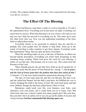of Zion. The scripture further says, *'for there God commanded the blessings, even life for evermore.'*

# **The Effect Of The Blessing**

When God blesses a man there's really no word to describe it. I'll call it the supernatural elixir. Everything you do just turns out right; everything you touch turns to success. When that blessing is on you, favour will come to you and you can't help but succeed in everything you do. This starts up in your life when God visits you. Now you can understand something of the force field we talked about earlier.

Everybody desires to be successful in whatever they do; and this is perhaps why some people look for charms to help them. Some go to the extent of traveling to other countries to get these charms. Everybody wants that supernatural 'thing' that can open up doors everywhere.

When the anointing settles on you, as the dew of Hermon, its effects are beyond human description. Everything you touch starts prospering as that anointing keeps working. When God gives the word for your blessing, it settles on you like dew, and prospers you in every way. This comes from the Presence of the Lord.

When Hannah prayed, she got that force field set up all around her. It was at this point that the priest of God blessed her, saying, *"…Go in peace: and the God of Israel grant thee thy petition that thou hast asked of him."* (1 Samuel 1:17); the force field around her attracted the blessing of God.

The dew of God came upon her and she was blessed. She had a son, and she called him Samuel, but she didn't stop there; she fulfilled her vow to God by bringing the child to the house of God. She went back home and had more children, though she had been called barren. Glory to God!

Barrenness could touch your life, your business, your body, your education, even your home, and it could touch you in so many ways. But when God visits you, it doesn't matter how many people don't like your face, they just don't have an option, but to see you go up the ladder of success and victory because **God has commanded His blessing upon you.**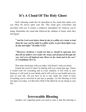# **It's A Cloud Of The Holy Ghost**

God's blessing could also be described as His cloud that settles over you when He moves upon your life. This cloud goes everywhere and anywhere with you. It creates a conducive atmosphere for whatever you're doing. Remember the cloud that followed the children of Israel when they left Egypt?

"*And the Lord went before them by day in a pillar of a cloud, to lead them the way; and by night in a pillar of fire, to give them light; to go by day and night:"* **(Exodus 13:21)**

"*Moreover, brethren, I would not that ye should be ignorant, how that all our fathers were under the cloud, and all passed through the sea; And were all baptized unto Moses in the cloud and in the sea;"* **(1 Corinthians 10:1-2)**,

That same cloud goes with you today. God doesn't want you alone.

I learnt the secret of what I'm sharing with you a long time ago. I knew it would work for everything and in every situation. It will work in your finances; it will work in your family and it will work in your health and every area of your life. All you have to do is stay under the cloud of God. Everything you're involved in just has to prosper. Let the blessing of God rest upon you today. Let that force field of the Spirit be set up strong in your life.

# **Irrevocable Blessing**

Another very important point you need to note is that this blessing is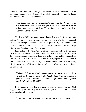not reversible. Once God blesses you, He neither desires to reverse it nor stop it; you are indeed blessed forever. I love what Isaac said to Esau after Jacob had deceived him and taken the blessing.

"*And Isaac trembled very exceedingly, and said, Who? where is he that hath taken venison, and brought it me, and I have eaten of all before thou camest, and have blessed him? yea, and he shall be blessed.*" **(Genesis 27:33)**

The Living Bible translation puts it better this way: "*…I have already eaten it* (the venison) *and blessed him with irrevocable blessing?*" Isaac said he couldn't change it because the word had gone forth, and nobody, could alter it. It was impossible to reverse it, and the Bible records that Esau wept bitterly, and found no place of repentance.

King Balak of the Moabites was afraid of an invasion from the children of Israel, who had been invincible in war. He knew that there was an unseen force propelling and prospering them, and he knew they had to be cursed for him to defeat them. So he sent for a well-known prophet, Balaam, to curse the Israelites. By the time Balaam got to where the children of Israel were, blessings came out of his mouth instead of curses. After trying several times, he finally said,

"*Behold, I have received commandment to bless: and he hath blessed; and I cannot reverse it... Surely there is no enchantment against Jacob, neither is there any divination against Israel..."***(Numbers 23:20,23).**

Every curse in your life was reversed into a blessing the day God stepped into your life. Anyone that tries to put any curse on you now endangers himself, because

"*... ye are thereunto called, that ye should inherit a blessing."* **(1**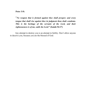**Peter 3:9)**

"*No weapon that is formed against thee shall prosper; and every tongue that shall rise against thee in judgment thou shalt condemn. This is the heritage of the servants of the Lord, and their righteousness is of me, saith the Lord.***" (Isaiah 54:17)**

Any attempt to destroy you is an attempt in futility. Don't allow anyone to deceive you, because you are the blessed of God.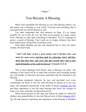#### Chapter 7

## You Become A Blessing

When God commands His blessing on you, that blessing follows you and makes you a blessing to your world. Everyone and everything that is associated with you will be blessed as well.

You must understand that God sponsors no flops. It's no longer possible for you to fail; the very fact that you're present in a place causes God's blessing to come upon everything in that place. You're a package of power, a parcel of blessing. Your words are no longer ordinary; they have been empowered to bring forth; to produce result.

God called Abraham one day and instructed him to leave his native country. He said to him,

"*And I will make of thee a great nation, and I will bless thee, and make thy name great; and thou shalt be a blessing: And I will bless them that bless thee, and curse him that curseth thee: and in thee shall all families of the earth be blessed."* **(Genesis 12:2-3)**

This is most inspiring! God doesn't stop at blessing you alone. The influence of the cloud will be so much that everyone and everything around you will partake of Jehovah's provision, protection and all contained in the blessing.

<span id="page-36-0"></span>Abraham prospered wherever he was, and prevailed over every circumstance he faced. It was the same blessing he passed on to his son, Isaac, who prospered enormously in the midst of famine (Genesis 26:2-30) and bitter opposition. It was the same blessing that Jacob, the younger of Isaac's two sons, earnestly coveted and received.

<span id="page-36-1"></span>When Jacob became an old man, just before his death, he called his children and grandchildren to him and blessed each of them (Genesis 49:1- 33). He had learnt by experience the importance of the blessing of Abraham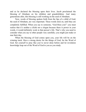and so he declared the blessing upon their lives. Jacob proclaimed the blessing of Abraham on his children and grandchildren. And many generations after, this blessing is still working on the seed of Abraham.

Now, words of blessing spoken forth from the lips of a child of God; the seed of Abraham, are very important. These words stick on, until they are completely fulfilled. When you say to someone, "God bless you!" you must realize that it's neither a cliché nor a slogan because there is power in your words, it would definitely work in that person's life. That's why you need to consider what you say to other people very carefully; you might just make or mar their day.

When the blessing of God comes upon you, your life will be on the winning track. Have a strong desire for the things of God, for the Word of God. Set yourself to pray like you've never done before and let revelation knowledge leap out of the Word of God to you as you study.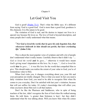#### Chapter 8

## Let God Visit You

<span id="page-38-0"></span>God is good! (Psalm 73:1). That's what the Bible says. It's different from saying 'God is a good God'. God is more than a good God; goodness is His character. It is His nature to be good.

The visitation of God is real, and He desires to impact our lives in a special way because He loves us. The love of God is beyond description, and many people don't really understand what that means.

### "*For God so loved the world, that he gave his only begotten Son, that whosoever believeth in him should not perish, but have everlasting life.*" **(John 3:16)**

This is about the most popular verse of scripture and still a lot of people don't understand what it really means. Carefully observe that it didn't say *"… God so loved the world and he gave…"* otherwise it would have meant God's giving wasn't dependent on His love. So, it says, *"…God so loved the world* **that** *he gave* ... "; it was His love for the world that compelled Him to give. This should make you realize the extent of your value to God; you're of tremendous value to Him.

When God visits you, it changes everything about you; your life and your perception are totally changed. This is what you need. In fact you need a daily visitation from God, you need to be able to recognize Him when He comes to you everyday. Don't be satisfied with last year's visitation, because that will not suffice for today. It's today's knowledge that will affect you; what you know about Him now is all that matters.

Don't be like the Pharisees and Sadducees, who in spite of being teachers of the law, didn't recognize the Son of God when He walked among them. He told them, 'a greater than Solomon is here', but they didn't understand what He was talking about. Will you know Him when He comes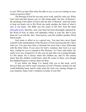to you? Will you hear Him when He talks to you, or are you waiting on your senses to perceive Him?

<span id="page-39-0"></span>The blessing of God for you may never work, until He visits you. When God visits and then blesses you, it's like being under 'the dew of Hermon'; the anointing of the Spirit of God is like the dew of Hermon. And God wants to keep our hearts wet so His Word can easily produce the fruits of what it says in our hearts. The Bible says the issues of life flow from the heart (Proverbs 4:23), therefore, once your heart has been thoroughly impacted by the Word of God, its effect will ultimately reflect in your life. But if your heart isn't wet with the 'dew' from heaven, your life wouldn't produce Word based results.

God wants to affect us in a special way. You may have never found yourself in the manifestation of the Presence of God, knowing that He's there with you. You may have been a Christian but never had a close fellowship with the Holy Ghost. If you crave for God's visitation, then God is at your door, waiting for you to respond to His Presence. As I have said earlier, He really loves you, irrespective of who you are and what you're going through; it's His nature. He is always where His children are, and it's His earnest desire that His children would know when He comes to them, even though His abiding Presence is always there for them.

If you follow the things I've shared with you in this book, you'll discover that you will be more conscious of God's Presence around you and would definitely know and be ready when He visits you, causing changes in your situation. Enjoy God's visitation everyday of your life!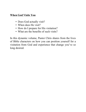## **When God Visits You**

- Does God actually visit?
- When does He visit?
- How do I prepare for His visitation?
- What are the benefits of such visits?

In this dynamic volume, Pastor Chris shares from the lives of Bible characters on how you can position yourself for a visitation from God and experience that change you've so long desired.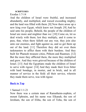### **SCRIPTURES**

Exodus 1:7-14

And the children of Israel were fruitful, and increased abundantly, and multiplied, and waxed exceeding mighty; and the land was filled with them. [8] Now there arose up a new king over Egypt, which knew not Joseph. [9] And he said unto his people, Behold, the people of the children of Israel are more and mightier than we: [10] Come on, let us deal wisely with them; lest they multiply, and it come to pass, that, when there falleth out any war, they join also unto our enemies, and fight against us, and so get them up out of the land. [11] Therefore they did set over them taskmasters to afflict them with their burdens. And they built for Pharaoh treasure cities, Pithom and Raamses. [12] But the more they afflicted them, the more they multiplied and grew. And they were grieved because of the children of Israel. [13] And the Egyptians made the children of Israel to serve with rigour: [14] And they made their lives bitter with hard bondage, in morter, and in brick, and in all manner of service in the field: all their service, wherein they made them serve, was with rigour.

## **[Back](#page-7-0) to Top**

### 1 Samuel 1:1-21

Now there was a certain man of Ramathaim-zophim, of mount Ephraim, and his name was Elkanah, the son of Jeroham, the son of Elihu, the son of Tohu, the son of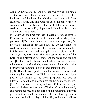Zuph, an Ephrathite: [2] And he had two wives; the name of the one was Hannah, and the name of the other Peninnah: and Peninnah had children, but Hannah had no children. [3] And this man went up out of his city yearly to worship and to sacrifice unto the Lord of hosts in Shiloh. And the two sons of Eli, Hophni and Phinehas, the priests of the Lord, were there.

[4] And when the time was that Elkanah offered, he gave to Peninnah his wife, and to all her sons and her daughters, portions: [5] But unto Hannah he gave a worthy portion; for he loved Hannah: but the Lord had shut up her womb. [6] And her adversary also provoked her sore, for to make her fret, because the Lord had shut up her womb. [7] And as he did so year by year, when she went up to the house of the Lord, so she provoked her; therefore she wept, and did not eat. [8] Then said Elkanah her husband to her, Hannah, why weepest thou? and why eatest thou not? and why is thy heart grieved? am not I better to thee than ten sons?

[9] So Hannah rose up after they had eaten in Shiloh, and after they had drunk. Now Eli the priest sat upon a seat by a post of the temple of the Lord. [10] And she was in bitterness of soul, and prayed unto the Lord, and wept sore. [11] And she vowed a vow, and said, O Lord of hosts, if thou wilt indeed look on the affliction of thine handmaid, and remember me, and not forget thine handmaid, but wilt give unto thine handmaid a man child, then I will give him unto the Lord all the days of his life, and there shall no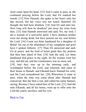razor come upon his head. [12] And it came to pass, as she continued praying before the Lord, that Eli marked her mouth. [13] Now Hannah, she spake in her heart; only her lips moved, but her voice was not heard: therefore Eli thought she had been drunken. [14] And Eli said unto her, How long wilt thou be drunken? put away thy wine from thee. [15] And Hannah answered and said, No, my lord, I am a woman of a sorrowful spirit: I have drunken neither wine nor strong drink, but have poured out my soul before the Lord. [16] Count not thine handmaid for a daughter of Belial: for out of the abundance of my complaint and grief have I spoken hitherto. [17] Then Eli answered and said, Go in peace: and the God of Israel grant thee thy petition that thou hast asked of him. [18] And she said, Let thine handmaid find grace in thy sight. So the woman went her way, and did eat, and her countenance was no more sad.

[19] And they rose up in the morning early, and worshipped before the Lord, and returned, and came to their house to Ramah: and Elkanah knew Hannah his wife; and the Lord remembered her. [20] Wherefore it came to pass, when the time was come about after Hannah had conceived, that she bare a son, and called his name Samuel, saying, Because I have asked him of the Lord. [21] And the man Elkanah, and all his house, went up to offer unto the Lord the yearly sacrifice, and his vow.

[Back](#page-8-0) to Top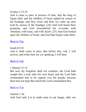### Exodus 2:23-25

And it came to pass in process of time, that the king of Egypt died: and the children of Israel sighed by reason of the bondage, and they cried, and their cry came up unto God by reason of the bondage. [24] And God heard their groaning, and God remembered his covenant with Abraham, with Isaac, and with Jacob. [25] And God looked upon the children of Israel, and God had respect unto them.

## [Back](#page-10-0) to Top

Isaiah 65:24 And it shall come to pass, that before they call, I will answer; and while they are yet speaking, I will hear.

## **[Back](#page-10-1) to Top**

### 1 Samuel 13:14

But now thy kingdom shall not continue: the Lord hath sought him a man after his own heart, and the Lord hath commanded him to be captain over his people, because thou hast not kept that which the Lord commanded thee.

### [Back](#page-11-0) to Top

Genesis 1:26 And God said, Let us make man in our image, after our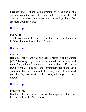likeness: and let them have dominion over the fish of the sea, and over the fowl of the air, and over the cattle, and over all the earth, and over every creeping thing that creepeth upon the earth.

[Back](#page-15-0) to Top

Psalm 115:16

The heaven, even the heavens, are the Lord's: but the earth hath he given to the children of men.

[Back](#page-15-0) to Top

Deut. 11:26-28

Behold, I set before you this day a blessing and a curse; [27] A blessing, if ye obey the commandments of the Lord your God, which I command you this day: [28] And a curse, if ye will not obey the commandments of the Lord your God, but turn aside out of the way which I command you this day, to go after other gods, which ye have not known.

[Back](#page-15-0) to Top

<span id="page-45-0"></span>Proverbs 18:21

Death and life are in the power of the tongue: and they that love it shall eat the fruit thereof.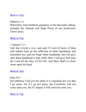## [Back](#page-15-0) to Top

Hebrews 3:1

Wherefore, holy brethren, partakers of the heavenly calling, consider the Apostle and High Priest of our profession, Christ Jesus;

[Back](#page-16-0) to Top

### 1 Samuel 1:11

And she vowed a vow, and said, O Lord of hosts, if thou wilt indeed look on the affliction of thine handmaid, and remember me, and not forget thine handmaid, but wilt give unto thine handmaid a man child, then I will give him unto the Lord all the days of his life, and there shall no razor come upon his head.

### [Back](#page-17-0) to Top

John 16:7

Nevertheless I tell you the truth; It is expedient for you that I go away: for if I go not away, the Comforter will not come unto you; but if I depart, I will send him unto you.

[Back](#page-23-0) to Top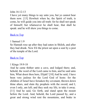### John 16:12-13

I have yet many things to say unto you, but ye cannot bear them now. [13] Howbeit when he, the Spirit of truth, is come, he will guide you into all truth: for he shall not speak of himself; but whatsoever he shall hear, that shall he speak: and he will shew you things to come.

## [Back](#page-23-0) to Top

## 1 Samuel 1:9

So Hannah rose up after they had eaten in Shiloh, and after they had drunk. Now Eli the priest sat upon a seat by a post of the temple of the Lord.

### [Back](#page-28-0) to Top

### 1 Kings 19:9-18

And he came thither unto a cave, and lodged there; and, behold, the word of the Lord came to him, and he said unto him, What doest thou here, Elijah? [10] And he said, I have been very jealous for the Lord God of hosts: for the children of Israel have forsaken thy covenant, thrown down thine altars, and slain thy prophets with the sword; and I, even I only, am left; and they seek my life, to take it away. [11] And he said, Go forth, and stand upon the mount before the Lord. And, behold, the Lord passed by, and a great and strong wind rent the mountains, and brake in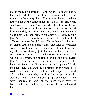pieces the rocks before the Lord; but the Lord was not in the wind: and after the wind an earthquake; but the Lord was not in the earthquake: [12] And after the earthquake a fire; but the Lord was not in the fire: and after the fire a still small voice. [13] And it was so, when Elijah heard it, that he wrapped his face in his mantle, and went out, and stood in the entering in of the cave. And, behold, there came a voice unto him, and said, What doest thou here, Elijah? [14] And he said, I have been very jealous for the Lord God of hosts: because the children of Israel have forsaken thy covenant, thrown down thine altars, and slain thy prophets with the sword; and I, even I only, am left; and they seek my life, to take it away. [15] And the Lord said unto him, Go, return on thy way to the wilderness of Damascus: and when thou comest, anoint Hazael to be king over Syria: [16] And Jehu the son of Nimshi shalt thou anoint to be king over Israel: and Elisha the son of Shaphat of Abelmeholah shalt thou anoint to be prophet in thy room. [17] And it shall come to pass, that him that escapeth the sword of Hazael shall Jehu slay: and him that escapeth from the sword of Jehu shall Elisha slay. [18] Yet I have left me seven thousand in Israel, all the knees which have not bowed unto Baal, and every mouth which hath not kissed him.

[Back](#page-28-0) to Top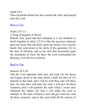Isaiah 38:2 Then Hezekiah turned his face toward the wall, and prayed unto the Lord,

[Back](#page-28-0) to Top

```
Psalm 133:1-3
```
A Song of degrees of David.

Behold, how good and how pleasant it is for brethren to dwell together in unity! [2] It is like the precious ointment upon the head, that ran down upon the beard, even Aaron's beard: that went down to the skirts of his garments; [3] As the dew of Hermon, and as the dew that descended upon the mountains of Zion: for there the Lord commanded the blessing, even life for evermore.

### [Back](#page-31-0) to Top

### Genesis 26:2-30

And the Lord appeared unto him, and said, Go not down into Egypt; dwell in the land which I shall tell thee of: [3] Sojourn in this land, and I will be with thee, and will bless thee; for unto thee, and unto thy seed, I will give all these countries, and I will perform the oath which I sware unto Abraham thy father; [4] And I will make thy seed to multiply as the stars of heaven, and will give unto thy seed all these countries; and in thy seed shall all the nations of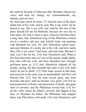the earth be blessed; [5] Because that Abraham obeyed my voice, and kept my charge, my commandments, my statutes, and my laws.

[6] And Isaac dwelt in Gerar: [7] And the men of the place asked him of his wife; and he said, She is my sister: for he feared to say, She is my wife; lest, said he, the men of the place should kill me for Rebekah; because she was fair to look upon. [8] And it came to pass, when he had been there a long time, that Abimelech king of the Philistines looked out at a window, and saw, and, behold, Isaac was sporting with Rebekah his wife. [9] And Abimelech called Isaac, and said, Behold, of a surety she is thy wife: and how saidst thou, She is my sister? And Isaac said unto him, Because I said, Lest I die for her. [10] And Abimelech said, What is this thou hast done unto us? one of the people might lightly have lien with thy wife, and thou shouldest have brought guiltiness upon us. [11] And Abimelech charged all his people, saying, He that toucheth this man or his wife shall surely be put to death. [12] Then Isaac sowed in that land, and received in the same year an hundredfold: and the Lord blessed him. [13] And the man waxed great, and went forward, and grew until he became very great: [14] For he had possession of flocks, and possession of herds, and great store of servants: and the Philistines envied him. [15] For all the wells which his father's servants had digged in the days of Abraham his father, the Philistines had stopped them, and filled them with earth. [16] And Abimelech said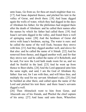unto Isaac, Go from us; for thou art much mightier than we. [17] And Isaac departed thence, and pitched his tent in the valley of Gerar, and dwelt there. [18] And Isaac digged again the wells of water, which they had digged in the days of Abraham his father; for the philistines had stopped them after the death of Abraham: and he called their names after the names by which his father had called them. [19] And Isaac's servants digged in the valley, and found there a well of springing water. [20] And the herdmen of Gerar did strive with Isaac's herdmen, saying, The water is ours: and he called the name of the well Esek; because they strove with him. [21] And they digged another well, and strove for that also: and he called the name of it Sitnah. [22] And he removed from thence, and digged another well; and for that they strove not: and he called the name of it Rehoboth; and he said, For now the Lord hath made room for us, and we shall be fruitful in the land. [23] And he went up from thence to Beer-sheba. [24] And the Lord appeared unto him the same night, and said, I am the God of Abraham thy father: fear not, for I am with thee, and will bless thee, and multiply thy seed for my servant Abraham's sake. [25] And he builded an altar there, and called upon the name of the Lord and pitched his tent there: and there Isaac's servants digged a well.

[26] Then Abimelech went to him from Gerar, and Ahuzzath one of his friends, and Phichol the chief captain of his army. [27] And Isaac said unto them, Wherefore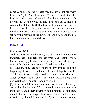come ye to me, seeing ye hate me, and have sent me away from you? [28] And they said, We saw certainly that the Lord was with thee: and we said, Let there be now an oath betwixt us, even betwixt us and thee, and let us make a covenant with thee; [29] That thou wilt do us no hurt, as we have not touched thee, and as we have done unto thee nothing but good, and have sent thee away in peace: thou art now the blessed of the Lord. [30] And he made them a feast, and they did eat and drink.

## [Back](#page-36-0) to Top

### Genesis 49:1-33

And Jacob called unto his sons, and said, Gather yourselves together, that I may tell you that which shall befall you in the last days. [2] Gather yourselves together, and hear, ye sons of Jacob; and hearken unto Israel your father.

[3] Reuben, thou art my firstborn, my might, and the beginning of my strength, the excellency of dignity, and the excellency of power: [4] Unstable as water, thou shalt not excel; because thou wentest up to thy father's bed; then defiledst thou it: he went up to my couch.

[5] Simeon and Levi are brethren; instruments of cruelty are in their habitations. [6] O my soul, come not thou into their secret; unto their assembly, mine honour, be not thou united: for in their anger they slew a man, and in their selfwill they digged down a wall. [7] Cursed be their anger,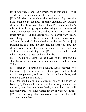for it was fierce; and their wrath, for it was cruel: I will divide them in Jacob, and scatter them in Israel.

[8] Judah, thou art he whom thy brethren shall praise: thy hand shall be in the neck of thine enemies; thy father's children shall bow down before thee. [9] Judah is a lion's whelp: from the prey, my son, thou art gone up: he stooped down, he couched as a lion, and as an old lion; who shall rouse him up? [10] The sceptre shall not depart from Judah, nor a lawgiver from between his feet, until Shiloh come; and unto him shall the gathering of the people be. [11] Binding his foal unto the vine, and his ass's colt unto the choice vine; he washed his garments in wine, and his clothes in the blood of grapes: [12] His eyes shall be red with wine, and his teeth white with milk.

[13] Zebulun shall dwell at the haven of the sea; and he shall be for an haven of ships; and his border shall be unto Zidon.

[14] Issachar is a strong ass couching down between two burdens: [15] And he saw that rest was good, and the land that it was pleasant; and bowed his shoulder to bear, and became a servant unto tribute.

[16] Dan shall judge his people, as one of the tribes of Israel. [17] Dan shall be a serpent by the way, an adder in the path, that biteth the horse heels, so that his rider shall fall backward. [18] I have waited for thy salvation, O Lord. [19] Gad, a troop shall overcome him: but he shall overcome at the last.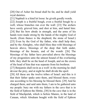[20] Out of Asher his bread shall be fat, and he shall yield royal dainties.

[21] Naphtali is a hind let loose: he giveth goodly words.

[22] Joseph is a fruitful bough, even a fruitful bough by a well; whose branches run over the wall: [23] The archers have sorely grieved him, and shot at him, and hated him: [24] But his bow abode in strength, and the arms of his hands were made strong by the hands of the mighty God of Jacob; (from thence is the shepherd, the stone of Israel:) [25] Even by the God of thy father, who shall help thee; and by the Almighty, who shall bless thee with blessings of heaven above, blessings of the deep that lieth under, blessings of the breasts, and of the womb: [26] The blessings of thy father have prevailed above the blessings of my progenitors unto the utmost bound of the everlasting hills: they shall be on the head of Joseph, and on the crown of the head of him that was separate from his brethren.

[27] Benjamin shall ravin as a wolf: in the morning he shall devour the prey, and at night he shall divide the spoil.

[28] All these are the twelve tribes of Israel: and this is it that their father spake unto them, and blessed them; every one according to his blessing he blessed them. [29] And he charged them, and said unto them, I am to be gathered unto my people: bury me with my fathers in the cave that is in the field of Ephron the Hittite, [30] In the cave that is in the field of Machpelah, which is before Mamre, in the land of Canaan, which Abraham bought with the field of Ephron